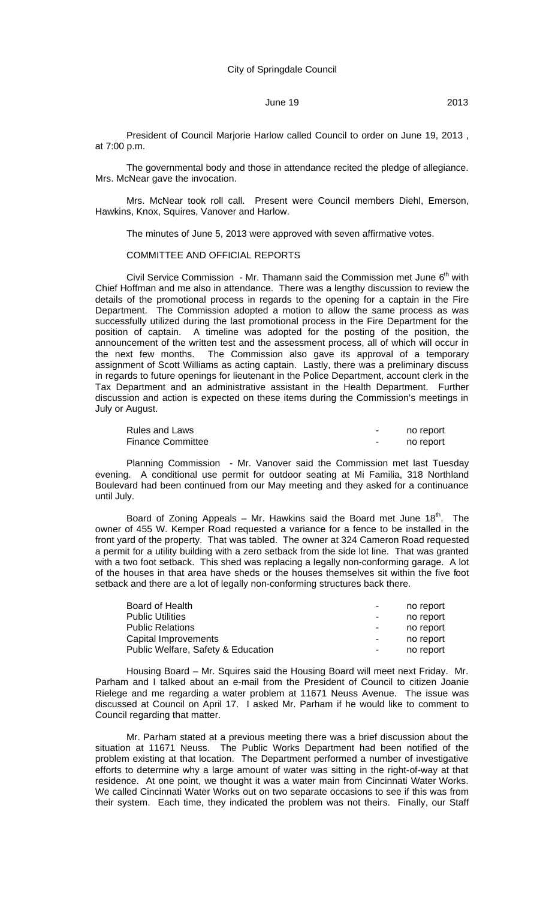President of Council Marjorie Harlow called Council to order on June 19, 2013 , at 7:00 p.m.

The governmental body and those in attendance recited the pledge of allegiance. Mrs. McNear gave the invocation.

Mrs. McNear took roll call. Present were Council members Diehl, Emerson, Hawkins, Knox, Squires, Vanover and Harlow.

The minutes of June 5, 2013 were approved with seven affirmative votes.

#### COMMITTEE AND OFFICIAL REPORTS

Civil Service Commission - Mr. Thamann said the Commission met June  $6<sup>th</sup>$  with Chief Hoffman and me also in attendance. There was a lengthy discussion to review the details of the promotional process in regards to the opening for a captain in the Fire Department. The Commission adopted a motion to allow the same process as was successfully utilized during the last promotional process in the Fire Department for the position of captain. A timeline was adopted for the posting of the position, the announcement of the written test and the assessment process, all of which will occur in the next few months. The Commission also gave its approval of a temporary The Commission also gave its approval of a temporary assignment of Scott Williams as acting captain. Lastly, there was a preliminary discuss in regards to future openings for lieutenant in the Police Department, account clerk in the Tax Department and an administrative assistant in the Health Department. Further discussion and action is expected on these items during the Commission's meetings in July or August.

| Rules and Laws           | - | no report |
|--------------------------|---|-----------|
| <b>Finance Committee</b> | - | no report |

Planning Commission - Mr. Vanover said the Commission met last Tuesday evening. A conditional use permit for outdoor seating at Mi Familia, 318 Northland Boulevard had been continued from our May meeting and they asked for a continuance until July.

Board of Zoning Appeals – Mr. Hawkins said the Board met June  $18<sup>th</sup>$ . The owner of 455 W. Kemper Road requested a variance for a fence to be installed in the front yard of the property. That was tabled. The owner at 324 Cameron Road requested a permit for a utility building with a zero setback from the side lot line. That was granted with a two foot setback. This shed was replacing a legally non-conforming garage. A lot of the houses in that area have sheds or the houses themselves sit within the five foot setback and there are a lot of legally non-conforming structures back there.

| Board of Health                    | $\blacksquare$           | no report |
|------------------------------------|--------------------------|-----------|
| <b>Public Utilities</b>            | $\blacksquare$           | no report |
| <b>Public Relations</b>            | $\blacksquare$           | no report |
| Capital Improvements               | $\overline{\phantom{a}}$ | no report |
| Public Welfare, Safety & Education | $\blacksquare$           | no report |

Housing Board – Mr. Squires said the Housing Board will meet next Friday. Mr. Parham and I talked about an e-mail from the President of Council to citizen Joanie Rielege and me regarding a water problem at 11671 Neuss Avenue. The issue was discussed at Council on April 17. I asked Mr. Parham if he would like to comment to Council regarding that matter.

Mr. Parham stated at a previous meeting there was a brief discussion about the situation at 11671 Neuss. The Public Works Department had been notified of the problem existing at that location. The Department performed a number of investigative efforts to determine why a large amount of water was sitting in the right-of-way at that residence. At one point, we thought it was a water main from Cincinnati Water Works. We called Cincinnati Water Works out on two separate occasions to see if this was from their system. Each time, they indicated the problem was not theirs. Finally, our Staff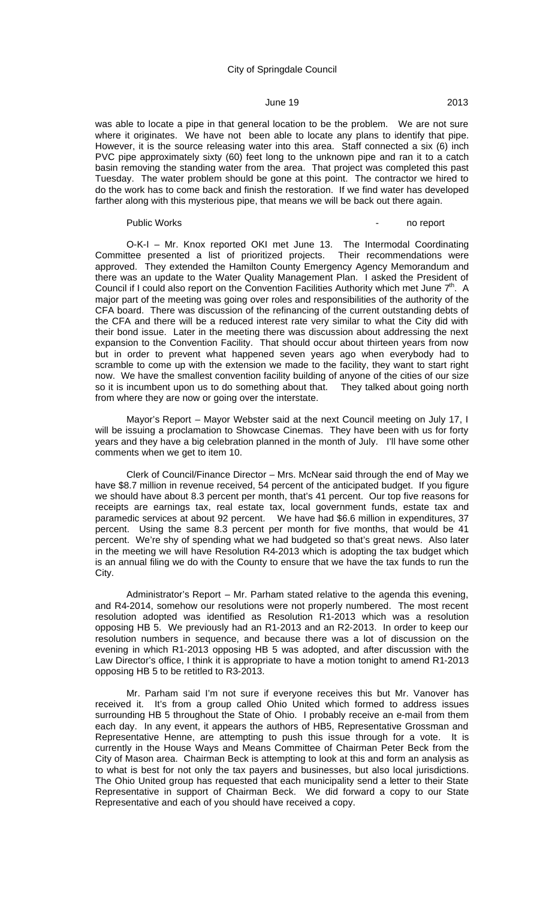# **June 19** 2013

was able to locate a pipe in that general location to be the problem. We are not sure where it originates. We have not been able to locate any plans to identify that pipe. However, it is the source releasing water into this area. Staff connected a six (6) inch PVC pipe approximately sixty (60) feet long to the unknown pipe and ran it to a catch basin removing the standing water from the area. That project was completed this past Tuesday. The water problem should be gone at this point. The contractor we hired to do the work has to come back and finish the restoration. If we find water has developed farther along with this mysterious pipe, that means we will be back out there again.

#### Public Works **Public Works - no report**

O-K-I – Mr. Knox reported OKI met June 13. The Intermodal Coordinating Committee presented a list of prioritized projects. Their recommendations were approved. They extended the Hamilton County Emergency Agency Memorandum and there was an update to the Water Quality Management Plan. I asked the President of Council if I could also report on the Convention Facilities Authority which met June  $7<sup>th</sup>$ . A major part of the meeting was going over roles and responsibilities of the authority of the CFA board. There was discussion of the refinancing of the current outstanding debts of the CFA and there will be a reduced interest rate very similar to what the City did with their bond issue. Later in the meeting there was discussion about addressing the next expansion to the Convention Facility. That should occur about thirteen years from now but in order to prevent what happened seven years ago when everybody had to scramble to come up with the extension we made to the facility, they want to start right now. We have the smallest convention facility building of anyone of the cities of our size so it is incumbent upon us to do something about that. They talked about going north from where they are now or going over the interstate.

Mayor's Report – Mayor Webster said at the next Council meeting on July 17, I will be issuing a proclamation to Showcase Cinemas. They have been with us for forty years and they have a big celebration planned in the month of July. I'll have some other comments when we get to item 10.

Clerk of Council/Finance Director – Mrs. McNear said through the end of May we have \$8.7 million in revenue received, 54 percent of the anticipated budget. If you figure we should have about 8.3 percent per month, that's 41 percent. Our top five reasons for receipts are earnings tax, real estate tax, local government funds, estate tax and paramedic services at about 92 percent. We have had \$6.6 million in expenditures, 37 percent. Using the same 8.3 percent per month for five months, that would be 41 percent. We're shy of spending what we had budgeted so that's great news. Also later in the meeting we will have Resolution R4-2013 which is adopting the tax budget which is an annual filing we do with the County to ensure that we have the tax funds to run the City.

Administrator's Report – Mr. Parham stated relative to the agenda this evening, and R4-2014, somehow our resolutions were not properly numbered. The most recent resolution adopted was identified as Resolution R1-2013 which was a resolution opposing HB 5. We previously had an R1-2013 and an R2-2013. In order to keep our resolution numbers in sequence, and because there was a lot of discussion on the evening in which R1-2013 opposing HB 5 was adopted, and after discussion with the Law Director's office, I think it is appropriate to have a motion tonight to amend R1-2013 opposing HB 5 to be retitled to R3-2013.

Mr. Parham said I'm not sure if everyone receives this but Mr. Vanover has received it. It's from a group called Ohio United which formed to address issues surrounding HB 5 throughout the State of Ohio. I probably receive an e-mail from them each day. In any event, it appears the authors of HB5, Representative Grossman and Representative Henne, are attempting to push this issue through for a vote. It is currently in the House Ways and Means Committee of Chairman Peter Beck from the City of Mason area. Chairman Beck is attempting to look at this and form an analysis as to what is best for not only the tax payers and businesses, but also local jurisdictions. The Ohio United group has requested that each municipality send a letter to their State Representative in support of Chairman Beck. We did forward a copy to our State Representative and each of you should have received a copy.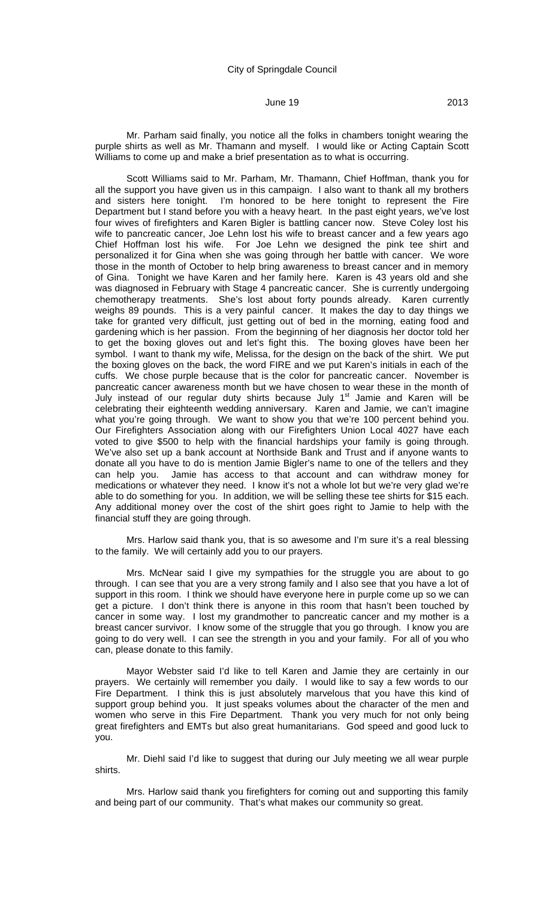Scott Williams said to Mr. Parham, Mr. Thamann, Chief Hoffman, thank you for all the support you have given us in this campaign. I also want to thank all my brothers and sisters here tonight. I'm honored to be here tonight to represent the Fire Department but I stand before you with a heavy heart. In the past eight years, we've lost four wives of firefighters and Karen Bigler is battling cancer now. Steve Coley lost his wife to pancreatic cancer, Joe Lehn lost his wife to breast cancer and a few years ago Chief Hoffman lost his wife. For Joe Lehn we designed the pink tee shirt and personalized it for Gina when she was going through her battle with cancer. We wore those in the month of October to help bring awareness to breast cancer and in memory of Gina. Tonight we have Karen and her family here. Karen is 43 years old and she was diagnosed in February with Stage 4 pancreatic cancer. She is currently undergoing chemotherapy treatments. She's lost about forty pounds already. Karen currently weighs 89 pounds. This is a very painful cancer. It makes the day to day things we take for granted very difficult, just getting out of bed in the morning, eating food and gardening which is her passion. From the beginning of her diagnosis her doctor told her to get the boxing gloves out and let's fight this. The boxing gloves have been her symbol. I want to thank my wife, Melissa, for the design on the back of the shirt. We put the boxing gloves on the back, the word FIRE and we put Karen's initials in each of the cuffs. We chose purple because that is the color for pancreatic cancer. November is pancreatic cancer awareness month but we have chosen to wear these in the month of July instead of our regular duty shirts because July 1<sup>st</sup> Jamie and Karen will be celebrating their eighteenth wedding anniversary. Karen and Jamie, we can't imagine what you're going through. We want to show you that we're 100 percent behind you. Our Firefighters Association along with our Firefighters Union Local 4027 have each voted to give \$500 to help with the financial hardships your family is going through. We've also set up a bank account at Northside Bank and Trust and if anyone wants to donate all you have to do is mention Jamie Bigler's name to one of the tellers and they can help you. Jamie has access to that account and can withdraw money for Jamie has access to that account and can withdraw money for medications or whatever they need. I know it's not a whole lot but we're very glad we're able to do something for you. In addition, we will be selling these tee shirts for \$15 each. Any additional money over the cost of the shirt goes right to Jamie to help with the financial stuff they are going through.

Mrs. Harlow said thank you, that is so awesome and I'm sure it's a real blessing to the family. We will certainly add you to our prayers.

Mrs. McNear said I give my sympathies for the struggle you are about to go through. I can see that you are a very strong family and I also see that you have a lot of support in this room. I think we should have everyone here in purple come up so we can get a picture. I don't think there is anyone in this room that hasn't been touched by cancer in some way. I lost my grandmother to pancreatic cancer and my mother is a breast cancer survivor. I know some of the struggle that you go through. I know you are going to do very well. I can see the strength in you and your family. For all of you who can, please donate to this family.

Mayor Webster said I'd like to tell Karen and Jamie they are certainly in our prayers. We certainly will remember you daily. I would like to say a few words to our Fire Department. I think this is just absolutely marvelous that you have this kind of support group behind you. It just speaks volumes about the character of the men and women who serve in this Fire Department. Thank you very much for not only being great firefighters and EMTs but also great humanitarians. God speed and good luck to you.

Mr. Diehl said I'd like to suggest that during our July meeting we all wear purple shirts.

Mrs. Harlow said thank you firefighters for coming out and supporting this family and being part of our community. That's what makes our community so great.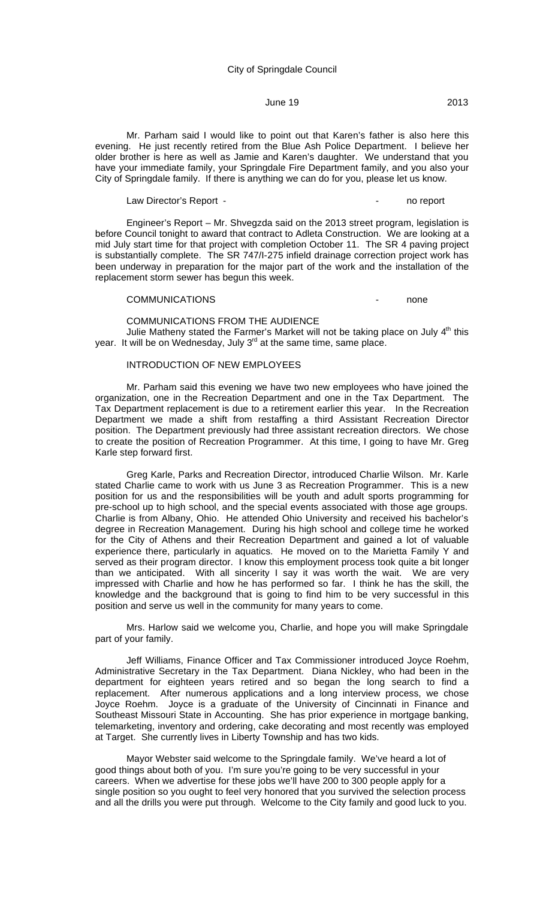Mr. Parham said I would like to point out that Karen's father is also here this evening. He just recently retired from the Blue Ash Police Department. I believe her older brother is here as well as Jamie and Karen's daughter. We understand that you have your immediate family, your Springdale Fire Department family, and you also your City of Springdale family. If there is anything we can do for you, please let us know.

Law Director's Report - The Contract of the Contract of the Contract of the Contract of the Contract of the Contract of the Contract of the Contract of the Contract of the Contract of the Contract of the Contract of the Co

Engineer's Report – Mr. Shvegzda said on the 2013 street program, legislation is before Council tonight to award that contract to Adleta Construction. We are looking at a mid July start time for that project with completion October 11. The SR 4 paving project is substantially complete. The SR 747/I-275 infield drainage correction project work has been underway in preparation for the major part of the work and the installation of the replacement storm sewer has begun this week.

#### COMMUNICATIONS - none

# COMMUNICATIONS FROM THE AUDIENCE

Julie Matheny stated the Farmer's Market will not be taking place on July  $4<sup>th</sup>$  this year. It will be on Wednesday, July 3<sup>rd</sup> at the same time, same place.

# INTRODUCTION OF NEW EMPLOYEES

Mr. Parham said this evening we have two new employees who have joined the organization, one in the Recreation Department and one in the Tax Department. The Tax Department replacement is due to a retirement earlier this year. In the Recreation Department we made a shift from restaffing a third Assistant Recreation Director position. The Department previously had three assistant recreation directors. We chose to create the position of Recreation Programmer. At this time, I going to have Mr. Greg Karle step forward first.

Greg Karle, Parks and Recreation Director, introduced Charlie Wilson. Mr. Karle stated Charlie came to work with us June 3 as Recreation Programmer. This is a new position for us and the responsibilities will be youth and adult sports programming for pre-school up to high school, and the special events associated with those age groups. Charlie is from Albany, Ohio. He attended Ohio University and received his bachelor's degree in Recreation Management. During his high school and college time he worked for the City of Athens and their Recreation Department and gained a lot of valuable experience there, particularly in aquatics. He moved on to the Marietta Family Y and served as their program director. I know this employment process took quite a bit longer than we anticipated. With all sincerity I say it was worth the wait. We are very impressed with Charlie and how he has performed so far. I think he has the skill, the knowledge and the background that is going to find him to be very successful in this position and serve us well in the community for many years to come.

Mrs. Harlow said we welcome you, Charlie, and hope you will make Springdale part of your family.

Jeff Williams, Finance Officer and Tax Commissioner introduced Joyce Roehm, Administrative Secretary in the Tax Department. Diana Nickley, who had been in the department for eighteen years retired and so began the long search to find a replacement. After numerous applications and a long interview process, we chose Joyce Roehm. Joyce is a graduate of the University of Cincinnati in Finance and Southeast Missouri State in Accounting. She has prior experience in mortgage banking, telemarketing, inventory and ordering, cake decorating and most recently was employed at Target. She currently lives in Liberty Township and has two kids.

Mayor Webster said welcome to the Springdale family. We've heard a lot of good things about both of you. I'm sure you're going to be very successful in your careers. When we advertise for these jobs we'll have 200 to 300 people apply for a single position so you ought to feel very honored that you survived the selection process and all the drills you were put through. Welcome to the City family and good luck to you.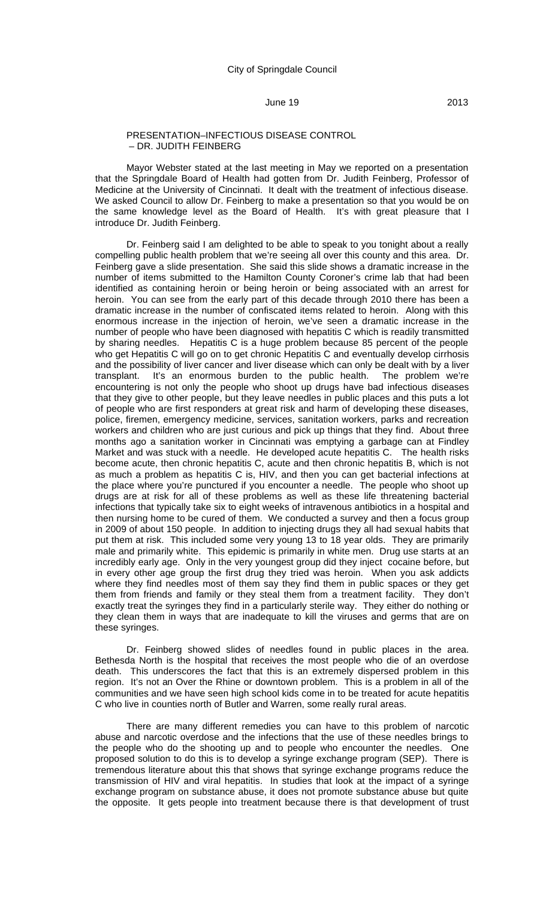#### PRESENTATION–INFECTIOUS DISEASE CONTROL – DR. JUDITH FEINBERG

Mayor Webster stated at the last meeting in May we reported on a presentation that the Springdale Board of Health had gotten from Dr. Judith Feinberg, Professor of Medicine at the University of Cincinnati. It dealt with the treatment of infectious disease. We asked Council to allow Dr. Feinberg to make a presentation so that you would be on the same knowledge level as the Board of Health. It's with great pleasure that I introduce Dr. Judith Feinberg.

Dr. Feinberg said I am delighted to be able to speak to you tonight about a really compelling public health problem that we're seeing all over this county and this area. Dr. Feinberg gave a slide presentation. She said this slide shows a dramatic increase in the number of items submitted to the Hamilton County Coroner's crime lab that had been identified as containing heroin or being heroin or being associated with an arrest for heroin. You can see from the early part of this decade through 2010 there has been a dramatic increase in the number of confiscated items related to heroin. Along with this enormous increase in the injection of heroin, we've seen a dramatic increase in the number of people who have been diagnosed with hepatitis C which is readily transmitted by sharing needles. Hepatitis C is a huge problem because 85 percent of the people who get Hepatitis C will go on to get chronic Hepatitis C and eventually develop cirrhosis and the possibility of liver cancer and liver disease which can only be dealt with by a liver transplant. It's an enormous burden to the public health. The problem we're encountering is not only the people who shoot up drugs have bad infectious diseases that they give to other people, but they leave needles in public places and this puts a lot of people who are first responders at great risk and harm of developing these diseases, police, firemen, emergency medicine, services, sanitation workers, parks and recreation workers and children who are just curious and pick up things that they find. About three months ago a sanitation worker in Cincinnati was emptying a garbage can at Findley Market and was stuck with a needle. He developed acute hepatitis C. The health risks become acute, then chronic hepatitis C, acute and then chronic hepatitis B, which is not as much a problem as hepatitis C is, HIV, and then you can get bacterial infections at the place where you're punctured if you encounter a needle. The people who shoot up drugs are at risk for all of these problems as well as these life threatening bacterial infections that typically take six to eight weeks of intravenous antibiotics in a hospital and then nursing home to be cured of them. We conducted a survey and then a focus group in 2009 of about 150 people. In addition to injecting drugs they all had sexual habits that put them at risk. This included some very young 13 to 18 year olds. They are primarily male and primarily white. This epidemic is primarily in white men. Drug use starts at an incredibly early age. Only in the very youngest group did they inject cocaine before, but in every other age group the first drug they tried was heroin. When you ask addicts where they find needles most of them say they find them in public spaces or they get them from friends and family or they steal them from a treatment facility. They don't exactly treat the syringes they find in a particularly sterile way. They either do nothing or they clean them in ways that are inadequate to kill the viruses and germs that are on these syringes.

Dr. Feinberg showed slides of needles found in public places in the area. Bethesda North is the hospital that receives the most people who die of an overdose death. This underscores the fact that this is an extremely dispersed problem in this region. It's not an Over the Rhine or downtown problem. This is a problem in all of the communities and we have seen high school kids come in to be treated for acute hepatitis C who live in counties north of Butler and Warren, some really rural areas.

There are many different remedies you can have to this problem of narcotic abuse and narcotic overdose and the infections that the use of these needles brings to the people who do the shooting up and to people who encounter the needles. One proposed solution to do this is to develop a syringe exchange program (SEP). There is tremendous literature about this that shows that syringe exchange programs reduce the transmission of HIV and viral hepatitis. In studies that look at the impact of a syringe exchange program on substance abuse, it does not promote substance abuse but quite the opposite. It gets people into treatment because there is that development of trust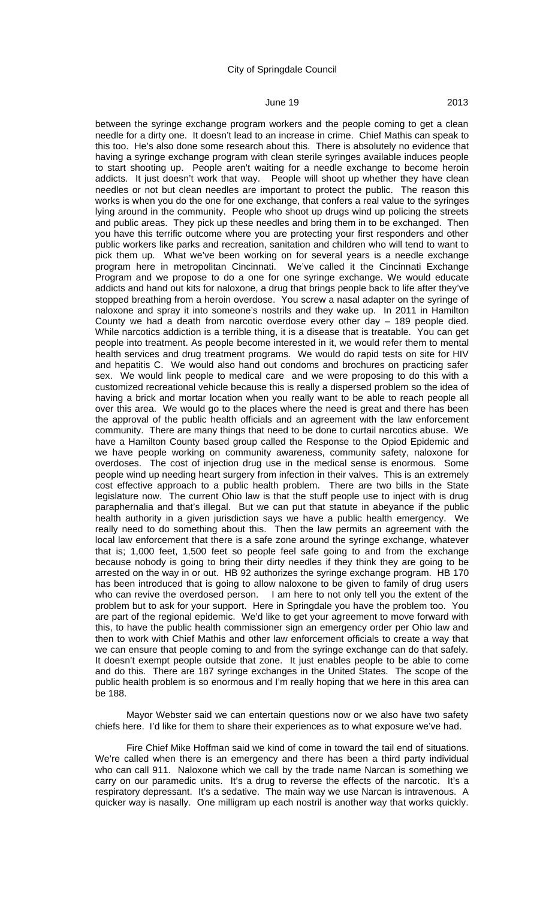between the syringe exchange program workers and the people coming to get a clean needle for a dirty one. It doesn't lead to an increase in crime. Chief Mathis can speak to this too. He's also done some research about this. There is absolutely no evidence that having a syringe exchange program with clean sterile syringes available induces people to start shooting up. People aren't waiting for a needle exchange to become heroin addicts. It just doesn't work that way. People will shoot up whether they have clean needles or not but clean needles are important to protect the public. The reason this works is when you do the one for one exchange, that confers a real value to the syringes lying around in the community. People who shoot up drugs wind up policing the streets and public areas. They pick up these needles and bring them in to be exchanged. Then you have this terrific outcome where you are protecting your first responders and other public workers like parks and recreation, sanitation and children who will tend to want to pick them up. What we've been working on for several years is a needle exchange program here in metropolitan Cincinnati. We've called it the Cincinnati Exchange Program and we propose to do a one for one syringe exchange. We would educate addicts and hand out kits for naloxone, a drug that brings people back to life after they've stopped breathing from a heroin overdose. You screw a nasal adapter on the syringe of naloxone and spray it into someone's nostrils and they wake up. In 2011 in Hamilton County we had a death from narcotic overdose every other day – 189 people died. While narcotics addiction is a terrible thing, it is a disease that is treatable. You can get people into treatment. As people become interested in it, we would refer them to mental health services and drug treatment programs. We would do rapid tests on site for HIV and hepatitis C. We would also hand out condoms and brochures on practicing safer sex. We would link people to medical care and we were proposing to do this with a customized recreational vehicle because this is really a dispersed problem so the idea of having a brick and mortar location when you really want to be able to reach people all over this area. We would go to the places where the need is great and there has been the approval of the public health officials and an agreement with the law enforcement community. There are many things that need to be done to curtail narcotics abuse. We have a Hamilton County based group called the Response to the Opiod Epidemic and we have people working on community awareness, community safety, naloxone for overdoses. The cost of injection drug use in the medical sense is enormous. Some people wind up needing heart surgery from infection in their valves. This is an extremely cost effective approach to a public health problem. There are two bills in the State legislature now. The current Ohio law is that the stuff people use to inject with is drug paraphernalia and that's illegal. But we can put that statute in abeyance if the public health authority in a given jurisdiction says we have a public health emergency. We really need to do something about this. Then the law permits an agreement with the local law enforcement that there is a safe zone around the syringe exchange, whatever that is; 1,000 feet, 1,500 feet so people feel safe going to and from the exchange because nobody is going to bring their dirty needles if they think they are going to be arrested on the way in or out. HB 92 authorizes the syringe exchange program. HB 170 has been introduced that is going to allow naloxone to be given to family of drug users who can revive the overdosed person. I am here to not only tell you the extent of the problem but to ask for your support. Here in Springdale you have the problem too. You are part of the regional epidemic. We'd like to get your agreement to move forward with this, to have the public health commissioner sign an emergency order per Ohio law and then to work with Chief Mathis and other law enforcement officials to create a way that we can ensure that people coming to and from the syringe exchange can do that safely. It doesn't exempt people outside that zone. It just enables people to be able to come and do this. There are 187 syringe exchanges in the United States. The scope of the public health problem is so enormous and I'm really hoping that we here in this area can be 188.

Mayor Webster said we can entertain questions now or we also have two safety chiefs here. I'd like for them to share their experiences as to what exposure we've had.

Fire Chief Mike Hoffman said we kind of come in toward the tail end of situations. We're called when there is an emergency and there has been a third party individual who can call 911. Naloxone which we call by the trade name Narcan is something we carry on our paramedic units. It's a drug to reverse the effects of the narcotic. It's a respiratory depressant. It's a sedative. The main way we use Narcan is intravenous. A quicker way is nasally. One milligram up each nostril is another way that works quickly.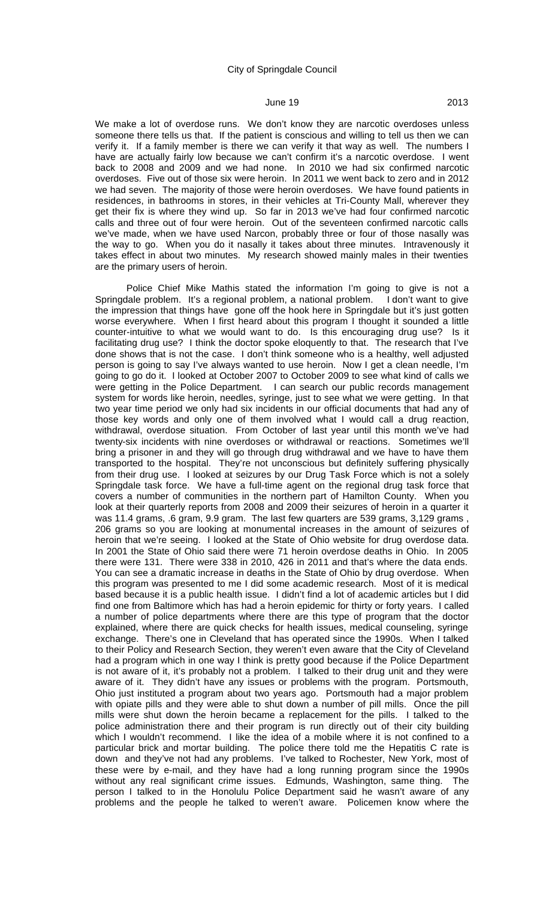We make a lot of overdose runs. We don't know they are narcotic overdoses unless someone there tells us that. If the patient is conscious and willing to tell us then we can verify it. If a family member is there we can verify it that way as well. The numbers I have are actually fairly low because we can't confirm it's a narcotic overdose. I went back to 2008 and 2009 and we had none. In 2010 we had six confirmed narcotic overdoses. Five out of those six were heroin. In 2011 we went back to zero and in 2012 we had seven. The majority of those were heroin overdoses. We have found patients in residences, in bathrooms in stores, in their vehicles at Tri-County Mall, wherever they get their fix is where they wind up. So far in 2013 we've had four confirmed narcotic calls and three out of four were heroin. Out of the seventeen confirmed narcotic calls we've made, when we have used Narcon, probably three or four of those nasally was the way to go. When you do it nasally it takes about three minutes. Intravenously it takes effect in about two minutes. My research showed mainly males in their twenties are the primary users of heroin.

Police Chief Mike Mathis stated the information I'm going to give is not a Springdale problem. It's a regional problem, a national problem. I don't want to give the impression that things have gone off the hook here in Springdale but it's just gotten worse everywhere. When I first heard about this program I thought it sounded a little counter-intuitive to what we would want to do. Is this encouraging drug use? Is it facilitating drug use? I think the doctor spoke eloquently to that. The research that I've done shows that is not the case. I don't think someone who is a healthy, well adjusted person is going to say I've always wanted to use heroin. Now I get a clean needle, I'm going to go do it. I looked at October 2007 to October 2009 to see what kind of calls we were getting in the Police Department. I can search our public records management system for words like heroin, needles, syringe, just to see what we were getting. In that two year time period we only had six incidents in our official documents that had any of those key words and only one of them involved what I would call a drug reaction, withdrawal, overdose situation. From October of last year until this month we've had twenty-six incidents with nine overdoses or withdrawal or reactions. Sometimes we'll bring a prisoner in and they will go through drug withdrawal and we have to have them transported to the hospital. They're not unconscious but definitely suffering physically from their drug use. I looked at seizures by our Drug Task Force which is not a solely Springdale task force. We have a full-time agent on the regional drug task force that covers a number of communities in the northern part of Hamilton County. When you look at their quarterly reports from 2008 and 2009 their seizures of heroin in a quarter it was 11.4 grams, .6 gram, 9.9 gram. The last few quarters are 539 grams, 3,129 grams, 206 grams so you are looking at monumental increases in the amount of seizures of heroin that we're seeing. I looked at the State of Ohio website for drug overdose data. In 2001 the State of Ohio said there were 71 heroin overdose deaths in Ohio. In 2005 there were 131. There were 338 in 2010, 426 in 2011 and that's where the data ends. You can see a dramatic increase in deaths in the State of Ohio by drug overdose. When this program was presented to me I did some academic research. Most of it is medical based because it is a public health issue. I didn't find a lot of academic articles but I did find one from Baltimore which has had a heroin epidemic for thirty or forty years. I called a number of police departments where there are this type of program that the doctor explained, where there are quick checks for health issues, medical counseling, syringe exchange. There's one in Cleveland that has operated since the 1990s. When I talked to their Policy and Research Section, they weren't even aware that the City of Cleveland had a program which in one way I think is pretty good because if the Police Department is not aware of it, it's probably not a problem. I talked to their drug unit and they were aware of it. They didn't have any issues or problems with the program. Portsmouth, Ohio just instituted a program about two years ago. Portsmouth had a major problem with opiate pills and they were able to shut down a number of pill mills. Once the pill mills were shut down the heroin became a replacement for the pills. I talked to the police administration there and their program is run directly out of their city building which I wouldn't recommend. I like the idea of a mobile where it is not confined to a particular brick and mortar building. The police there told me the Hepatitis C rate is down and they've not had any problems. I've talked to Rochester, New York, most of these were by e-mail, and they have had a long running program since the 1990s without any real significant crime issues. Edmunds, Washington, same thing. The person I talked to in the Honolulu Police Department said he wasn't aware of any problems and the people he talked to weren't aware. Policemen know where the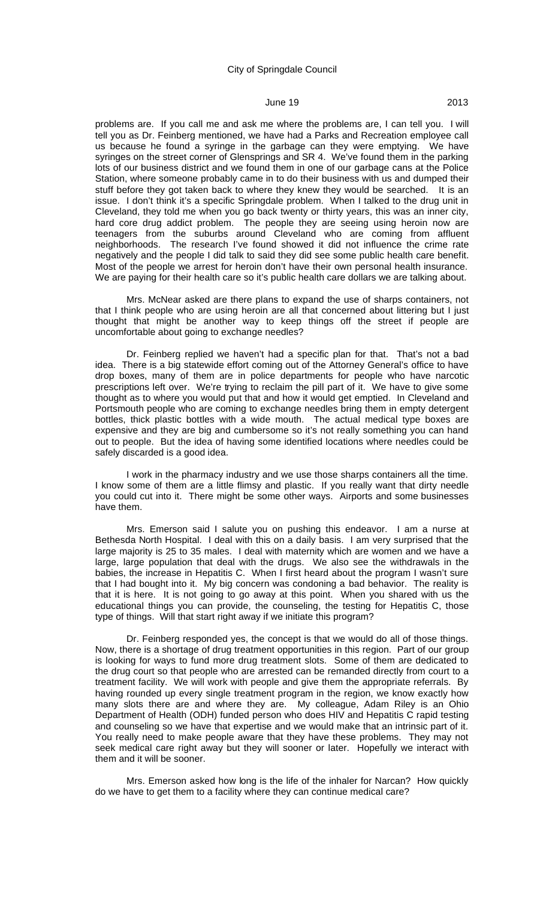problems are. If you call me and ask me where the problems are, I can tell you. I will tell you as Dr. Feinberg mentioned, we have had a Parks and Recreation employee call us because he found a syringe in the garbage can they were emptying. We have syringes on the street corner of Glensprings and SR 4. We've found them in the parking lots of our business district and we found them in one of our garbage cans at the Police Station, where someone probably came in to do their business with us and dumped their stuff before they got taken back to where they knew they would be searched. It is an issue. I don't think it's a specific Springdale problem. When I talked to the drug unit in Cleveland, they told me when you go back twenty or thirty years, this was an inner city, hard core drug addict problem. The people they are seeing using heroin now are teenagers from the suburbs around Cleveland who are coming from affluent neighborhoods. The research I've found showed it did not influence the crime rate negatively and the people I did talk to said they did see some public health care benefit. Most of the people we arrest for heroin don't have their own personal health insurance. We are paying for their health care so it's public health care dollars we are talking about.

Mrs. McNear asked are there plans to expand the use of sharps containers, not that I think people who are using heroin are all that concerned about littering but I just thought that might be another way to keep things off the street if people are uncomfortable about going to exchange needles?

Dr. Feinberg replied we haven't had a specific plan for that. That's not a bad idea. There is a big statewide effort coming out of the Attorney General's office to have drop boxes, many of them are in police departments for people who have narcotic prescriptions left over. We're trying to reclaim the pill part of it. We have to give some thought as to where you would put that and how it would get emptied. In Cleveland and Portsmouth people who are coming to exchange needles bring them in empty detergent bottles, thick plastic bottles with a wide mouth. The actual medical type boxes are expensive and they are big and cumbersome so it's not really something you can hand out to people. But the idea of having some identified locations where needles could be safely discarded is a good idea.

I work in the pharmacy industry and we use those sharps containers all the time. I know some of them are a little flimsy and plastic. If you really want that dirty needle you could cut into it. There might be some other ways. Airports and some businesses have them.

Mrs. Emerson said I salute you on pushing this endeavor. I am a nurse at Bethesda North Hospital. I deal with this on a daily basis. I am very surprised that the large majority is 25 to 35 males. I deal with maternity which are women and we have a large, large population that deal with the drugs. We also see the withdrawals in the babies, the increase in Hepatitis C. When I first heard about the program I wasn't sure that I had bought into it. My big concern was condoning a bad behavior. The reality is that it is here. It is not going to go away at this point. When you shared with us the educational things you can provide, the counseling, the testing for Hepatitis C, those type of things. Will that start right away if we initiate this program?

Dr. Feinberg responded yes, the concept is that we would do all of those things. Now, there is a shortage of drug treatment opportunities in this region. Part of our group is looking for ways to fund more drug treatment slots. Some of them are dedicated to the drug court so that people who are arrested can be remanded directly from court to a treatment facility. We will work with people and give them the appropriate referrals. By having rounded up every single treatment program in the region, we know exactly how many slots there are and where they are. My colleague, Adam Riley is an Ohio Department of Health (ODH) funded person who does HIV and Hepatitis C rapid testing and counseling so we have that expertise and we would make that an intrinsic part of it. You really need to make people aware that they have these problems. They may not seek medical care right away but they will sooner or later. Hopefully we interact with them and it will be sooner.

Mrs. Emerson asked how long is the life of the inhaler for Narcan? How quickly do we have to get them to a facility where they can continue medical care?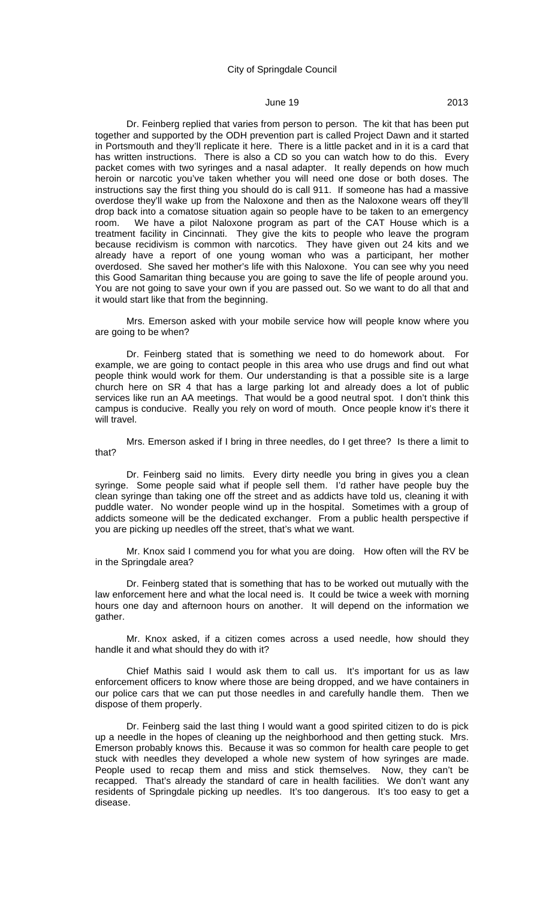# **June 19** 2013

Dr. Feinberg replied that varies from person to person. The kit that has been put together and supported by the ODH prevention part is called Project Dawn and it started in Portsmouth and they'll replicate it here. There is a little packet and in it is a card that has written instructions. There is also a CD so you can watch how to do this. Every packet comes with two syringes and a nasal adapter. It really depends on how much heroin or narcotic you've taken whether you will need one dose or both doses. The instructions say the first thing you should do is call 911. If someone has had a massive overdose they'll wake up from the Naloxone and then as the Naloxone wears off they'll drop back into a comatose situation again so people have to be taken to an emergency room. We have a pilot Naloxone program as part of the CAT House which is a treatment facility in Cincinnati. They give the kits to people who leave the program because recidivism is common with narcotics. They have given out 24 kits and we already have a report of one young woman who was a participant, her mother overdosed. She saved her mother's life with this Naloxone. You can see why you need this Good Samaritan thing because you are going to save the life of people around you. You are not going to save your own if you are passed out. So we want to do all that and it would start like that from the beginning.

Mrs. Emerson asked with your mobile service how will people know where you are going to be when?

Dr. Feinberg stated that is something we need to do homework about. For example, we are going to contact people in this area who use drugs and find out what people think would work for them. Our understanding is that a possible site is a large church here on SR 4 that has a large parking lot and already does a lot of public services like run an AA meetings. That would be a good neutral spot. I don't think this campus is conducive. Really you rely on word of mouth. Once people know it's there it will travel.

Mrs. Emerson asked if I bring in three needles, do I get three? Is there a limit to that?

Dr. Feinberg said no limits. Every dirty needle you bring in gives you a clean syringe. Some people said what if people sell them. I'd rather have people buy the clean syringe than taking one off the street and as addicts have told us, cleaning it with puddle water. No wonder people wind up in the hospital. Sometimes with a group of addicts someone will be the dedicated exchanger. From a public health perspective if you are picking up needles off the street, that's what we want.

Mr. Knox said I commend you for what you are doing. How often will the RV be in the Springdale area?

Dr. Feinberg stated that is something that has to be worked out mutually with the law enforcement here and what the local need is. It could be twice a week with morning hours one day and afternoon hours on another. It will depend on the information we gather.

Mr. Knox asked, if a citizen comes across a used needle, how should they handle it and what should they do with it?

Chief Mathis said I would ask them to call us. It's important for us as law enforcement officers to know where those are being dropped, and we have containers in our police cars that we can put those needles in and carefully handle them. Then we dispose of them properly.

Dr. Feinberg said the last thing I would want a good spirited citizen to do is pick up a needle in the hopes of cleaning up the neighborhood and then getting stuck. Mrs. Emerson probably knows this. Because it was so common for health care people to get stuck with needles they developed a whole new system of how syringes are made. People used to recap them and miss and stick themselves. Now, they can't be recapped. That's already the standard of care in health facilities. We don't want any residents of Springdale picking up needles. It's too dangerous. It's too easy to get a disease.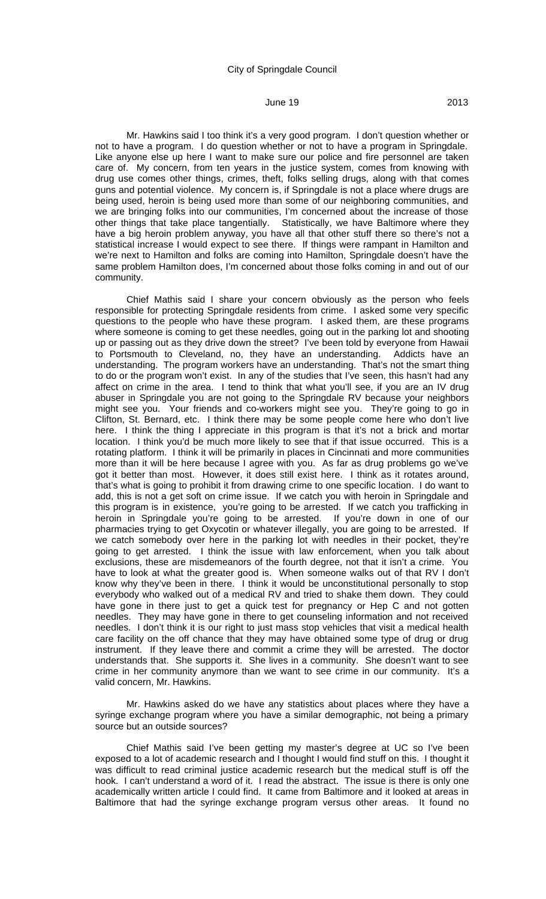Mr. Hawkins said I too think it's a very good program. I don't question whether or not to have a program. I do question whether or not to have a program in Springdale. Like anyone else up here I want to make sure our police and fire personnel are taken care of. My concern, from ten years in the justice system, comes from knowing with drug use comes other things, crimes, theft, folks selling drugs, along with that comes guns and potential violence. My concern is, if Springdale is not a place where drugs are being used, heroin is being used more than some of our neighboring communities, and we are bringing folks into our communities, I'm concerned about the increase of those other things that take place tangentially. Statistically, we have Baltimore where they have a big heroin problem anyway, you have all that other stuff there so there's not a statistical increase I would expect to see there. If things were rampant in Hamilton and we're next to Hamilton and folks are coming into Hamilton, Springdale doesn't have the same problem Hamilton does, I'm concerned about those folks coming in and out of our community.

Chief Mathis said I share your concern obviously as the person who feels responsible for protecting Springdale residents from crime. I asked some very specific questions to the people who have these program. I asked them, are these programs where someone is coming to get these needles, going out in the parking lot and shooting up or passing out as they drive down the street? I've been told by everyone from Hawaii to Portsmouth to Cleveland, no, they have an understanding. Addicts have an understanding. The program workers have an understanding. That's not the smart thing to do or the program won't exist. In any of the studies that I've seen, this hasn't had any affect on crime in the area. I tend to think that what you'll see, if you are an IV drug abuser in Springdale you are not going to the Springdale RV because your neighbors might see you. Your friends and co-workers might see you. They're going to go in Clifton, St. Bernard, etc. I think there may be some people come here who don't live here. I think the thing I appreciate in this program is that it's not a brick and mortar location. I think you'd be much more likely to see that if that issue occurred. This is a rotating platform. I think it will be primarily in places in Cincinnati and more communities more than it will be here because I agree with you. As far as drug problems go we've got it better than most. However, it does still exist here. I think as it rotates around, that's what is going to prohibit it from drawing crime to one specific location. I do want to add, this is not a get soft on crime issue. If we catch you with heroin in Springdale and this program is in existence, you're going to be arrested. If we catch you trafficking in heroin in Springdale you're going to be arrested. If you're down in one of our pharmacies trying to get Oxycotin or whatever illegally, you are going to be arrested. If we catch somebody over here in the parking lot with needles in their pocket, they're going to get arrested. I think the issue with law enforcement, when you talk about exclusions, these are misdemeanors of the fourth degree, not that it isn't a crime. You have to look at what the greater good is. When someone walks out of that RV I don't know why they've been in there. I think it would be unconstitutional personally to stop everybody who walked out of a medical RV and tried to shake them down. They could have gone in there just to get a quick test for pregnancy or Hep C and not gotten needles. They may have gone in there to get counseling information and not received needles. I don't think it is our right to just mass stop vehicles that visit a medical health care facility on the off chance that they may have obtained some type of drug or drug instrument. If they leave there and commit a crime they will be arrested. The doctor understands that. She supports it. She lives in a community. She doesn't want to see crime in her community anymore than we want to see crime in our community. It's a valid concern, Mr. Hawkins.

Mr. Hawkins asked do we have any statistics about places where they have a syringe exchange program where you have a similar demographic, not being a primary source but an outside sources?

Chief Mathis said I've been getting my master's degree at UC so I've been exposed to a lot of academic research and I thought I would find stuff on this. I thought it was difficult to read criminal justice academic research but the medical stuff is off the hook. I can't understand a word of it. I read the abstract. The issue is there is only one academically written article I could find. It came from Baltimore and it looked at areas in Baltimore that had the syringe exchange program versus other areas. It found no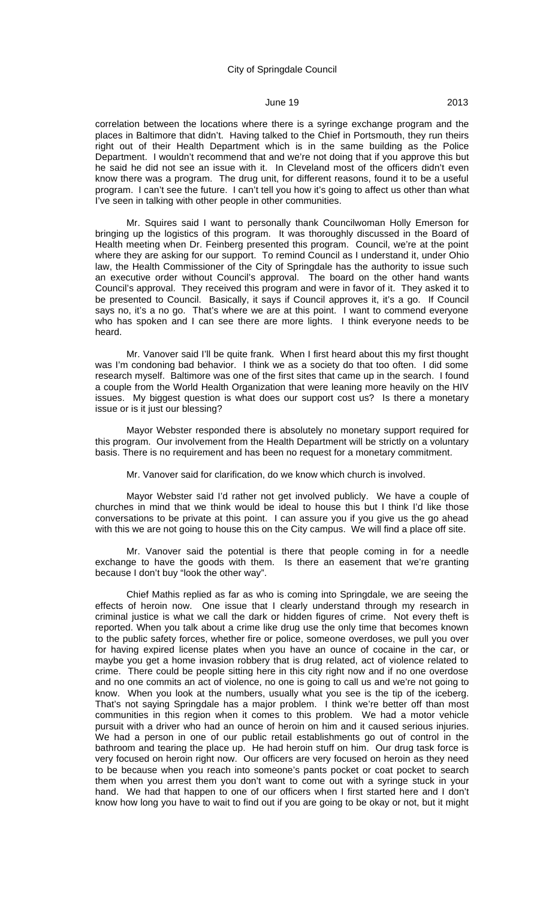# June 19 2013

correlation between the locations where there is a syringe exchange program and the places in Baltimore that didn't. Having talked to the Chief in Portsmouth, they run theirs right out of their Health Department which is in the same building as the Police Department. I wouldn't recommend that and we're not doing that if you approve this but he said he did not see an issue with it. In Cleveland most of the officers didn't even know there was a program. The drug unit, for different reasons, found it to be a useful program. I can't see the future. I can't tell you how it's going to affect us other than what I've seen in talking with other people in other communities.

Mr. Squires said I want to personally thank Councilwoman Holly Emerson for bringing up the logistics of this program. It was thoroughly discussed in the Board of Health meeting when Dr. Feinberg presented this program. Council, we're at the point where they are asking for our support. To remind Council as I understand it, under Ohio law, the Health Commissioner of the City of Springdale has the authority to issue such an executive order without Council's approval. The board on the other hand wants Council's approval. They received this program and were in favor of it. They asked it to be presented to Council. Basically, it says if Council approves it, it's a go. If Council says no, it's a no go. That's where we are at this point. I want to commend everyone who has spoken and I can see there are more lights. I think everyone needs to be heard.

Mr. Vanover said I'll be quite frank. When I first heard about this my first thought was I'm condoning bad behavior. I think we as a society do that too often. I did some research myself. Baltimore was one of the first sites that came up in the search. I found a couple from the World Health Organization that were leaning more heavily on the HIV issues. My biggest question is what does our support cost us? Is there a monetary issue or is it just our blessing?

Mayor Webster responded there is absolutely no monetary support required for this program. Our involvement from the Health Department will be strictly on a voluntary basis. There is no requirement and has been no request for a monetary commitment.

Mr. Vanover said for clarification, do we know which church is involved.

Mayor Webster said I'd rather not get involved publicly. We have a couple of churches in mind that we think would be ideal to house this but I think I'd like those conversations to be private at this point. I can assure you if you give us the go ahead with this we are not going to house this on the City campus. We will find a place off site.

Mr. Vanover said the potential is there that people coming in for a needle exchange to have the goods with them. Is there an easement that we're granting because I don't buy "look the other way".

Chief Mathis replied as far as who is coming into Springdale, we are seeing the effects of heroin now. One issue that I clearly understand through my research in criminal justice is what we call the dark or hidden figures of crime. Not every theft is reported. When you talk about a crime like drug use the only time that becomes known to the public safety forces, whether fire or police, someone overdoses, we pull you over for having expired license plates when you have an ounce of cocaine in the car, or maybe you get a home invasion robbery that is drug related, act of violence related to crime. There could be people sitting here in this city right now and if no one overdose and no one commits an act of violence, no one is going to call us and we're not going to know. When you look at the numbers, usually what you see is the tip of the iceberg. That's not saying Springdale has a major problem. I think we're better off than most communities in this region when it comes to this problem. We had a motor vehicle pursuit with a driver who had an ounce of heroin on him and it caused serious injuries. We had a person in one of our public retail establishments go out of control in the bathroom and tearing the place up. He had heroin stuff on him. Our drug task force is very focused on heroin right now. Our officers are very focused on heroin as they need to be because when you reach into someone's pants pocket or coat pocket to search them when you arrest them you don't want to come out with a syringe stuck in your hand. We had that happen to one of our officers when I first started here and I don't know how long you have to wait to find out if you are going to be okay or not, but it might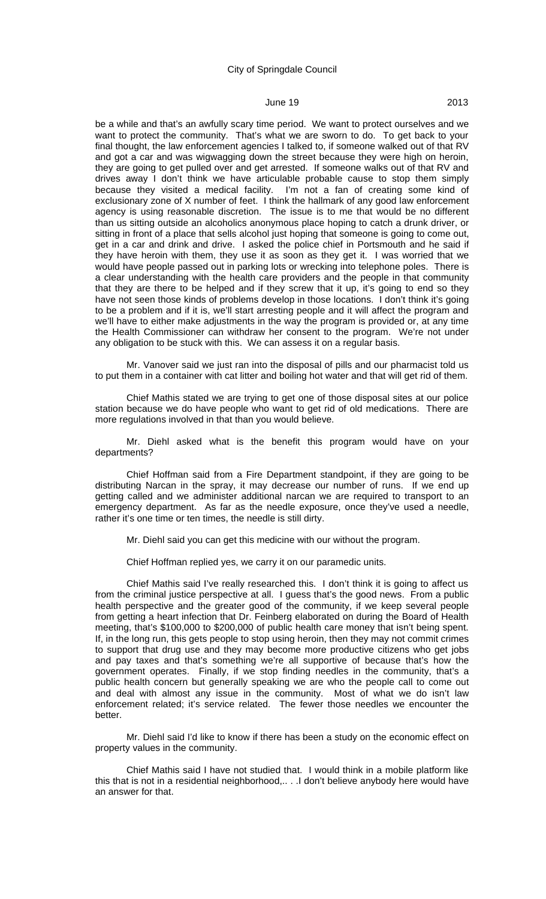# June 19 2013

be a while and that's an awfully scary time period. We want to protect ourselves and we want to protect the community. That's what we are sworn to do. To get back to your final thought, the law enforcement agencies I talked to, if someone walked out of that RV and got a car and was wigwagging down the street because they were high on heroin, they are going to get pulled over and get arrested. If someone walks out of that RV and drives away I don't think we have articulable probable cause to stop them simply because they visited a medical facility. I'm not a fan of creating some kind of exclusionary zone of X number of feet. I think the hallmark of any good law enforcement agency is using reasonable discretion. The issue is to me that would be no different than us sitting outside an alcoholics anonymous place hoping to catch a drunk driver, or sitting in front of a place that sells alcohol just hoping that someone is going to come out, get in a car and drink and drive. I asked the police chief in Portsmouth and he said if they have heroin with them, they use it as soon as they get it. I was worried that we would have people passed out in parking lots or wrecking into telephone poles. There is a clear understanding with the health care providers and the people in that community that they are there to be helped and if they screw that it up, it's going to end so they have not seen those kinds of problems develop in those locations. I don't think it's going to be a problem and if it is, we'll start arresting people and it will affect the program and we'll have to either make adjustments in the way the program is provided or, at any time the Health Commissioner can withdraw her consent to the program. We're not under any obligation to be stuck with this. We can assess it on a regular basis.

Mr. Vanover said we just ran into the disposal of pills and our pharmacist told us to put them in a container with cat litter and boiling hot water and that will get rid of them.

Chief Mathis stated we are trying to get one of those disposal sites at our police station because we do have people who want to get rid of old medications. There are more regulations involved in that than you would believe.

Mr. Diehl asked what is the benefit this program would have on your departments?

Chief Hoffman said from a Fire Department standpoint, if they are going to be distributing Narcan in the spray, it may decrease our number of runs. If we end up getting called and we administer additional narcan we are required to transport to an emergency department. As far as the needle exposure, once they've used a needle, rather it's one time or ten times, the needle is still dirty.

Mr. Diehl said you can get this medicine with our without the program.

Chief Hoffman replied yes, we carry it on our paramedic units.

Chief Mathis said I've really researched this. I don't think it is going to affect us from the criminal justice perspective at all. I guess that's the good news. From a public health perspective and the greater good of the community, if we keep several people from getting a heart infection that Dr. Feinberg elaborated on during the Board of Health meeting, that's \$100,000 to \$200,000 of public health care money that isn't being spent. If, in the long run, this gets people to stop using heroin, then they may not commit crimes to support that drug use and they may become more productive citizens who get jobs and pay taxes and that's something we're all supportive of because that's how the government operates. Finally, if we stop finding needles in the community, that's a public health concern but generally speaking we are who the people call to come out and deal with almost any issue in the community. Most of what we do isn't law enforcement related; it's service related. The fewer those needles we encounter the better.

Mr. Diehl said I'd like to know if there has been a study on the economic effect on property values in the community.

Chief Mathis said I have not studied that. I would think in a mobile platform like this that is not in a residential neighborhood,.. . .I don't believe anybody here would have an answer for that.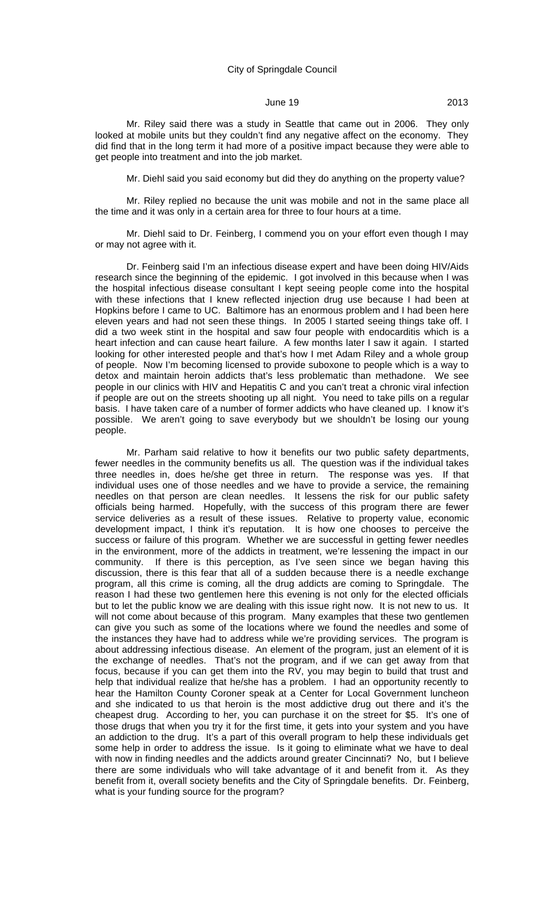Mr. Riley said there was a study in Seattle that came out in 2006. They only looked at mobile units but they couldn't find any negative affect on the economy. They did find that in the long term it had more of a positive impact because they were able to get people into treatment and into the job market.

Mr. Diehl said you said economy but did they do anything on the property value?

Mr. Riley replied no because the unit was mobile and not in the same place all the time and it was only in a certain area for three to four hours at a time.

Mr. Diehl said to Dr. Feinberg, I commend you on your effort even though I may or may not agree with it.

Dr. Feinberg said I'm an infectious disease expert and have been doing HIV/Aids research since the beginning of the epidemic. I got involved in this because when I was the hospital infectious disease consultant I kept seeing people come into the hospital with these infections that I knew reflected injection drug use because I had been at Hopkins before I came to UC. Baltimore has an enormous problem and I had been here eleven years and had not seen these things. In 2005 I started seeing things take off. I did a two week stint in the hospital and saw four people with endocarditis which is a heart infection and can cause heart failure. A few months later I saw it again. I started looking for other interested people and that's how I met Adam Riley and a whole group of people. Now I'm becoming licensed to provide suboxone to people which is a way to detox and maintain heroin addicts that's less problematic than methadone. We see people in our clinics with HIV and Hepatitis C and you can't treat a chronic viral infection if people are out on the streets shooting up all night. You need to take pills on a regular basis. I have taken care of a number of former addicts who have cleaned up. I know it's possible. We aren't going to save everybody but we shouldn't be losing our young people.

Mr. Parham said relative to how it benefits our two public safety departments, fewer needles in the community benefits us all. The question was if the individual takes three needles in, does he/she get three in return. The response was yes. If that individual uses one of those needles and we have to provide a service, the remaining needles on that person are clean needles. It lessens the risk for our public safety officials being harmed. Hopefully, with the success of this program there are fewer service deliveries as a result of these issues. Relative to property value, economic development impact, I think it's reputation. It is how one chooses to perceive the success or failure of this program. Whether we are successful in getting fewer needles in the environment, more of the addicts in treatment, we're lessening the impact in our community. If there is this perception, as I've seen since we began having this discussion, there is this fear that all of a sudden because there is a needle exchange program, all this crime is coming, all the drug addicts are coming to Springdale. The reason I had these two gentlemen here this evening is not only for the elected officials but to let the public know we are dealing with this issue right now. It is not new to us. It will not come about because of this program. Many examples that these two gentlemen can give you such as some of the locations where we found the needles and some of the instances they have had to address while we're providing services. The program is about addressing infectious disease. An element of the program, just an element of it is the exchange of needles. That's not the program, and if we can get away from that focus, because if you can get them into the RV, you may begin to build that trust and help that individual realize that he/she has a problem. I had an opportunity recently to hear the Hamilton County Coroner speak at a Center for Local Government luncheon and she indicated to us that heroin is the most addictive drug out there and it's the cheapest drug. According to her, you can purchase it on the street for \$5. It's one of those drugs that when you try it for the first time, it gets into your system and you have an addiction to the drug. It's a part of this overall program to help these individuals get some help in order to address the issue. Is it going to eliminate what we have to deal with now in finding needles and the addicts around greater Cincinnati? No, but I believe there are some individuals who will take advantage of it and benefit from it. As they benefit from it, overall society benefits and the City of Springdale benefits. Dr. Feinberg, what is your funding source for the program?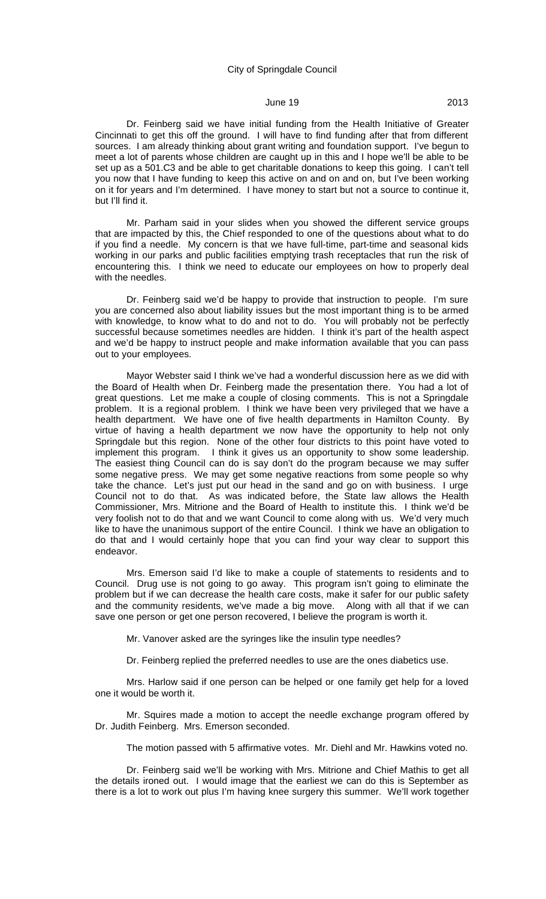Dr. Feinberg said we have initial funding from the Health Initiative of Greater Cincinnati to get this off the ground. I will have to find funding after that from different sources. I am already thinking about grant writing and foundation support. I've begun to meet a lot of parents whose children are caught up in this and I hope we'll be able to be set up as a 501.C3 and be able to get charitable donations to keep this going. I can't tell you now that I have funding to keep this active on and on and on, but I've been working on it for years and I'm determined. I have money to start but not a source to continue it, but I'll find it.

Mr. Parham said in your slides when you showed the different service groups that are impacted by this, the Chief responded to one of the questions about what to do if you find a needle. My concern is that we have full-time, part-time and seasonal kids working in our parks and public facilities emptying trash receptacles that run the risk of encountering this. I think we need to educate our employees on how to properly deal with the needles.

Dr. Feinberg said we'd be happy to provide that instruction to people. I'm sure you are concerned also about liability issues but the most important thing is to be armed with knowledge, to know what to do and not to do. You will probably not be perfectly successful because sometimes needles are hidden. I think it's part of the health aspect and we'd be happy to instruct people and make information available that you can pass out to your employees.

Mayor Webster said I think we've had a wonderful discussion here as we did with the Board of Health when Dr. Feinberg made the presentation there. You had a lot of great questions. Let me make a couple of closing comments. This is not a Springdale problem. It is a regional problem. I think we have been very privileged that we have a health department. We have one of five health departments in Hamilton County. By virtue of having a health department we now have the opportunity to help not only Springdale but this region. None of the other four districts to this point have voted to implement this program. I think it gives us an opportunity to show some leadership. The easiest thing Council can do is say don't do the program because we may suffer some negative press. We may get some negative reactions from some people so why take the chance. Let's just put our head in the sand and go on with business. I urge Council not to do that. As was indicated before, the State law allows the Health Commissioner, Mrs. Mitrione and the Board of Health to institute this. I think we'd be very foolish not to do that and we want Council to come along with us. We'd very much like to have the unanimous support of the entire Council. I think we have an obligation to do that and I would certainly hope that you can find your way clear to support this endeavor.

Mrs. Emerson said I'd like to make a couple of statements to residents and to Council. Drug use is not going to go away. This program isn't going to eliminate the problem but if we can decrease the health care costs, make it safer for our public safety and the community residents, we've made a big move. Along with all that if we can save one person or get one person recovered, I believe the program is worth it.

Mr. Vanover asked are the syringes like the insulin type needles?

Dr. Feinberg replied the preferred needles to use are the ones diabetics use.

Mrs. Harlow said if one person can be helped or one family get help for a loved one it would be worth it.

Mr. Squires made a motion to accept the needle exchange program offered by Dr. Judith Feinberg. Mrs. Emerson seconded.

The motion passed with 5 affirmative votes. Mr. Diehl and Mr. Hawkins voted no.

Dr. Feinberg said we'll be working with Mrs. Mitrione and Chief Mathis to get all the details ironed out. I would image that the earliest we can do this is September as there is a lot to work out plus I'm having knee surgery this summer. We'll work together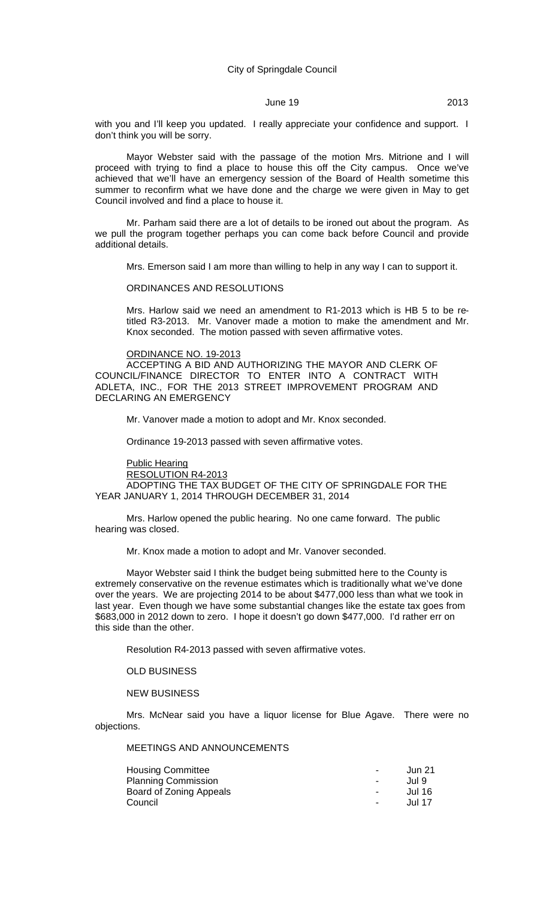# **June 19** 2013

with you and I'll keep you updated. I really appreciate your confidence and support. I don't think you will be sorry.

Mayor Webster said with the passage of the motion Mrs. Mitrione and I will proceed with trying to find a place to house this off the City campus. Once we've achieved that we'll have an emergency session of the Board of Health sometime this summer to reconfirm what we have done and the charge we were given in May to get Council involved and find a place to house it.

Mr. Parham said there are a lot of details to be ironed out about the program. As we pull the program together perhaps you can come back before Council and provide additional details.

Mrs. Emerson said I am more than willing to help in any way I can to support it.

#### ORDINANCES AND RESOLUTIONS

Mrs. Harlow said we need an amendment to R1-2013 which is HB 5 to be retitled R3-2013. Mr. Vanover made a motion to make the amendment and Mr. Knox seconded. The motion passed with seven affirmative votes.

#### ORDINANCE NO. 19-2013

ACCEPTING A BID AND AUTHORIZING THE MAYOR AND CLERK OF COUNCIL/FINANCE DIRECTOR TO ENTER INTO A CONTRACT WITH ADLETA, INC., FOR THE 2013 STREET IMPROVEMENT PROGRAM AND DECLARING AN EMERGENCY

Mr. Vanover made a motion to adopt and Mr. Knox seconded.

Ordinance 19-2013 passed with seven affirmative votes.

Public Hearing

RESOLUTION R4-2013

ADOPTING THE TAX BUDGET OF THE CITY OF SPRINGDALE FOR THE YEAR JANUARY 1, 2014 THROUGH DECEMBER 31, 2014

Mrs. Harlow opened the public hearing. No one came forward. The public hearing was closed.

Mr. Knox made a motion to adopt and Mr. Vanover seconded.

Mayor Webster said I think the budget being submitted here to the County is extremely conservative on the revenue estimates which is traditionally what we've done over the years. We are projecting 2014 to be about \$477,000 less than what we took in last year. Even though we have some substantial changes like the estate tax goes from \$683,000 in 2012 down to zero. I hope it doesn't go down \$477,000. I'd rather err on this side than the other.

Resolution R4-2013 passed with seven affirmative votes.

OLD BUSINESS

NEW BUSINESS

Mrs. McNear said you have a liquor license for Blue Agave. There were no objections.

MEETINGS AND ANNOUNCEMENTS

| <b>Housing Committee</b>   | $\overline{\phantom{a}}$ | Jun 21 |
|----------------------------|--------------------------|--------|
| <b>Planning Commission</b> | $\overline{\phantom{0}}$ | Jul 9  |
| Board of Zoning Appeals    | $\blacksquare$           | Jul 16 |
| Council                    | $\blacksquare$           | Jul 17 |